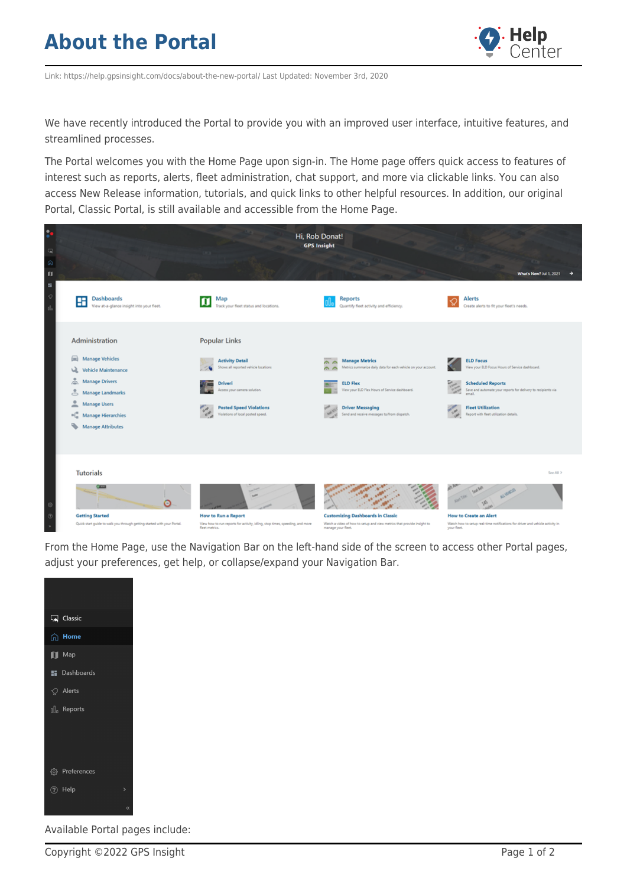## **About the Portal**



Link: https://help.gpsinsight.com/docs/about-the-new-portal/ Last Updated: November 3rd, 2020

We have recently introduced the Portal to provide you with an improved user interface, intuitive features, and streamlined processes.

The Portal welcomes you with the Home Page upon sign-in. The Home page offers quick access to features of interest such as reports, alerts, fleet administration, chat support, and more via clickable links. You can also access New Release information, tutorials, and quick links to other helpful resources. In addition, our original Portal, Classic Portal, is still available and accessible from the Home Page.



From the Home Page, use the Navigation Bar on the left-hand side of the screen to access other Portal pages, adjust your preferences, get help, or collapse/expand your Navigation Bar.



Available Portal pages include: